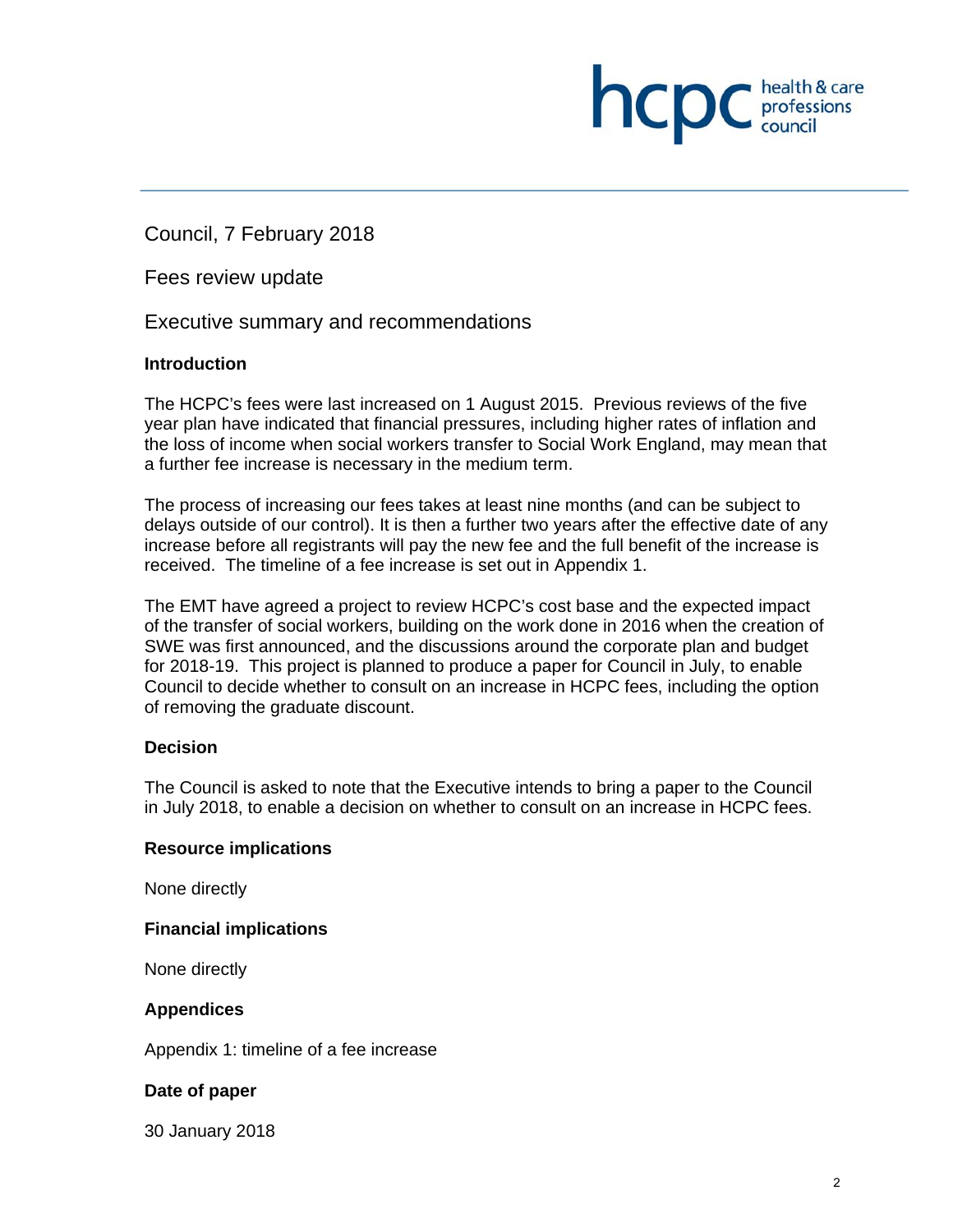**INCID** C professions

Council, 7 February 2018

Fees review update

Executive summary and recommendations

## **Introduction**

The HCPC's fees were last increased on 1 August 2015. Previous reviews of the five year plan have indicated that financial pressures, including higher rates of inflation and the loss of income when social workers transfer to Social Work England, may mean that a further fee increase is necessary in the medium term.

The process of increasing our fees takes at least nine months (and can be subject to delays outside of our control). It is then a further two years after the effective date of any increase before all registrants will pay the new fee and the full benefit of the increase is received. The timeline of a fee increase is set out in Appendix 1.

The EMT have agreed a project to review HCPC's cost base and the expected impact of the transfer of social workers, building on the work done in 2016 when the creation of SWE was first announced, and the discussions around the corporate plan and budget for 2018-19. This project is planned to produce a paper for Council in July, to enable Council to decide whether to consult on an increase in HCPC fees, including the option of removing the graduate discount.

# **Decision**

The Council is asked to note that the Executive intends to bring a paper to the Council in July 2018, to enable a decision on whether to consult on an increase in HCPC fees.

### **Resource implications**

None directly

### **Financial implications**

None directly

### **Appendices**

Appendix 1: timeline of a fee increase

# **Date of paper**

30 January 2018